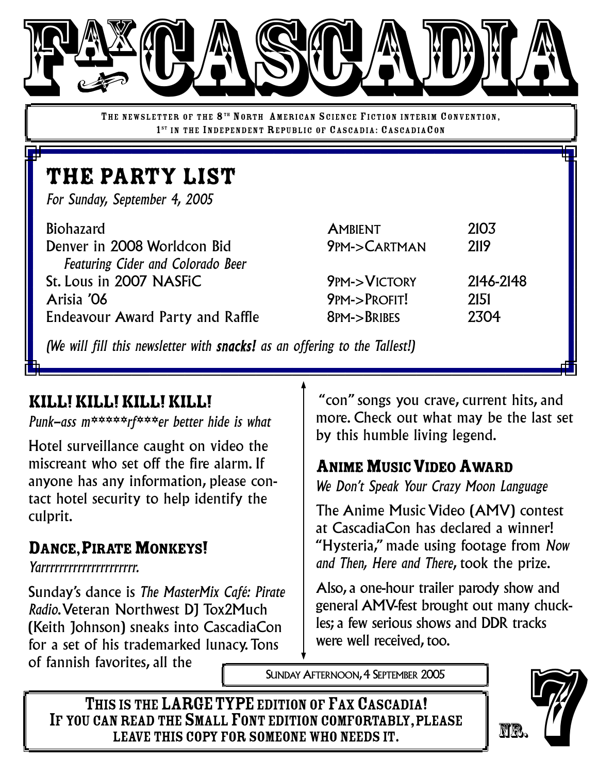

THE NEWSLETTER OF THE 8<sup>TH</sup> NORTH AMERICAN SCIENCE FICTION INTERIM CONVENTION, 1<sup>ST</sup> IN THE INDEPENDENT REPUBLIC OF CASCADIA: CASCADIACON

# THE PARTY LIST

*For Sunday, September 4, 2005*

| <b>Biohazard</b>                         | <b>AMBIENT</b>         | 2103      |
|------------------------------------------|------------------------|-----------|
| Denver in 2008 Worldcon Bid              | 9PM->CARTMAN           | 2119      |
| <b>Featuring Cider and Colorado Beer</b> |                        |           |
| St. Lous in 2007 NASFIC                  | <b>9PM-&gt;VICTORY</b> | 2146-2148 |
| Arisia '06                               | 9PM->PROFIT!           | 2151      |
| <b>Endeavour Award Party and Raffle</b>  | 8PM->BRIBES            | 2304      |
|                                          |                        |           |

*(We will fill this newsletter with snacks! as an offering to the Tallest!)*

#### KILL!KILL!KILL!KILL!

*Punk-ass m\*\*\*\*\*rf\*\*\*er better hide is what*

Hotel surveillance caught on video the miscreant who set off the fire alarm. If anyone has any information, please contact hotel security to help identify the culprit.

#### DANCE, PIRATE MONKEYS!

*Yarrrrrrrrrrrrrrrrrrrrr.*

Sunday's dance is *The MasterMix Café: Pirate Radio*.Veteran Northwest DJ Tox2Much (Keith Johnson) sneaks into CascadiaCon for a set of his trademarked lunacy.Tons of fannish favorites, all the

"con" songs you crave, current hits, and more. Check out what may be the last set by this humble living legend.

#### **ANIME MUSIC VIDEO AWARD**

*We Don't Speak Your Crazy Moon Language*

The Anime Music Video (AMV) contest at CascadiaCon has declared a winner! "Hysteria," made using footage from *Now and Then, Here and There*, took the prize.

Also, a one-hour trailer parody show and general AMV-fest brought out many chuckles; a few serious shows and DDR tracks were well received, too.

SUNDAY AFTERNOON, 4 SEPTEMBER 2005

THIS IS THE LARGE TYPE EDITION OF FAX CASCADIA! IF YOU CAN READ THE SMALL FONT EDITION COMFORTABLY, PLEASE<br>LEAVE THIS COPY FOR SOMEONE WHO NEEDS IT. OFITES, AII THE WARGE TYPE EDITION OF FAX CASCADIA!<br>
SIS THE LARGE TYPE EDITION OF FAX CASCADIA!<br>
LEAVE THIS COPY FOR SOMEONE WHO NEEDS IT.

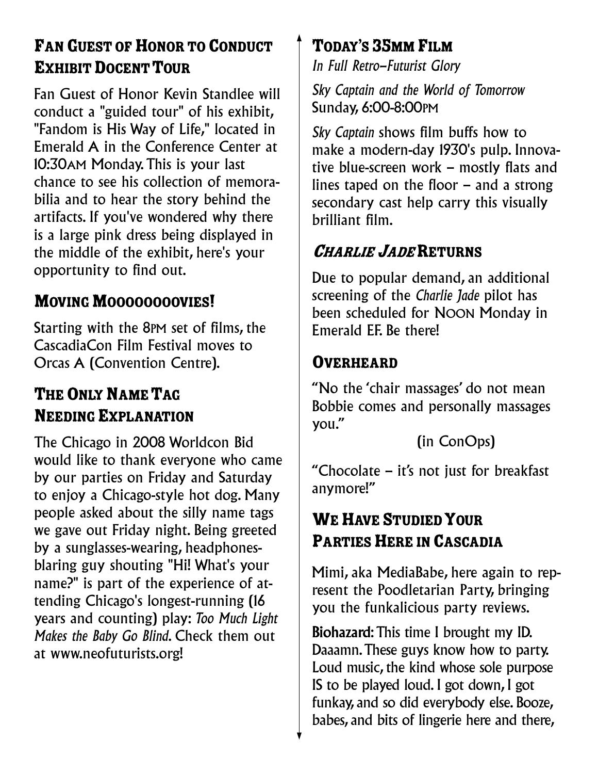# FAN GUEST OF HONOR TO CONDUCT EXHIBIT DOCENT TOUR

Fan Guest of Honor Kevin Standlee will conduct a "guided tour" of his exhibit, "Fandom is His Way of Life," located in Emerald A in the Conference Center at 10:30AM Monday.This is your last chance to see his collection of memorabilia and to hear the story behind the artifacts. If you've wondered why there is a large pink dress being displayed in the middle of the exhibit, here's your opportunity to find out.

## MOVING MOOOOOOOOVIES!

Starting with the 8PM set of films, the CascadiaCon Film Festival moves to Orcas A (Convention Centre).

# THE ONLY NAME TAG **NEEDING EXPLANATION**

The Chicago in 2008 Worldcon Bid would like to thank everyone who came by our parties on Friday and Saturday to enjoy a Chicago-style hot dog. Many people asked about the silly name tags we gave out Friday night. Being greeted by a sunglasses-wearing, headphonesblaring guy shouting "Hi! What's your name?" is part of the experience of attending Chicago's longest-running (16 years and counting) play: *Too Much Light Makes the Baby Go Blind*. Check them out at www.neofuturists.org!

## TODAY'S 35MM FILM

*In Full Retro-Futurist Glory*

*Sky Captain and the World of Tomorrow* Sunday, 6:00-8:00PM

*Sky Captain* shows film buffs how to make a modern-day 1930's pulp. Innovative blue-screen work – mostly flats and lines taped on the floor – and a strong secondary cast help carry this visually brilliant film.

## **CHARLIE JADE RETURNS**

Due to popular demand, an additional screening of the *Charlie Jade* pilot has been scheduled for NOON Monday in Emerald EF. Be there!

#### **OVERHEARD**

"No the 'chair massages' do not mean Bobbie comes and personally massages you."

(in ConOps)

"Chocolate – it's not just for breakfast anymore!"

## WE HAVE STUDIED YOUR PARTIES HERE IN CASCADIA

Mimi, aka MediaBabe, here again to represent the Poodletarian Party, bringing you the funkalicious party reviews.

Biohazard: This time I brought my ID. Daaamn.These guys know how to party. Loud music, the kind whose sole purpose IS to be played loud. I got down, I got funkay, and so did everybody else. Booze, babes, and bits of lingerie here and there,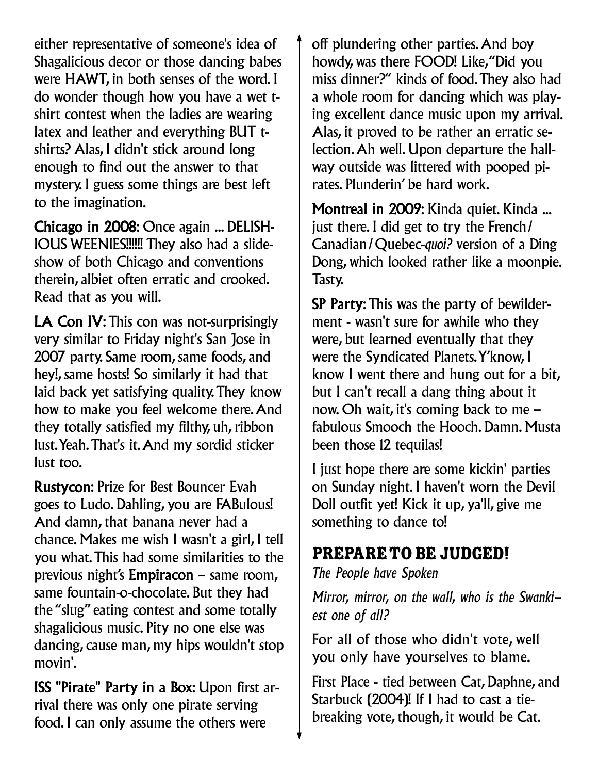either representative of someone's idea of Shagalicious decor or those dancing babes were HAWT, in both senses of the word. I do wonder though how you have a wet tshirt contest when the ladies are wearing latex and leather and everything BUT tshirts? Alas, I didn't stick around long enough to find out the answer to that mystery. I guess some things are best left to the imagination.

Chicago in 2008: Once again ... DELISH-IOUS WEENIES!!!!!! They also had a slideshow of both Chicago and conventions therein, albiet often erratic and crooked. Read that as you will.

LA Con IV: This con was not-surprisingly very similar to Friday night's San Jose in 2007 party. Same room, same foods, and hey!, same hosts! So similarly it had that laid back yet satisfying quality.They know how to make you feel welcome there.And they totally satisfied my filthy, uh, ribbon lust.Yeah.That's it.And my sordid sticker lust too.

Rustycon: Prize for Best Bouncer Evah goes to Ludo. Dahling, you are FABulous! And damn, that banana never had a chance. Makes me wish I wasn't a girl, I tell you what.This had some similarities to the previous night's Empiracon – same room, same fountain-o-chocolate. But they had the "slug" eating contest and some totally shagalicious music. Pity no one else was dancing, cause man, my hips wouldn't stop movin'.

ISS "Pirate" Party in a Box: Upon first arrival there was only one pirate serving food. I can only assume the others were

off plundering other parties.And boy howdy, was there FOOD! Like,"Did you miss dinner?" kinds of food.They also had a whole room for dancing which was playing excellent dance music upon my arrival. Alas, it proved to be rather an erratic selection.Ah well. Upon departure the hallway outside was littered with pooped pirates. Plunderin' be hard work.

Montreal in 2009: Kinda quiet. Kinda ... just there. I did get to try the French/ Canadian/Quebec-*quoi?* version of a Ding Dong, which looked rather like a moonpie. Tasty.

SP Party:This was the party of bewilderment - wasn't sure for awhile who they were, but learned eventually that they were the Syndicated Planets.Y'know, I know I went there and hung out for a bit, but I can't recall a dang thing about it now. Oh wait, it's coming back to me – fabulous Smooch the Hooch. Damn. Musta been those 12 tequilas!

I just hope there are some kickin' parties on Sunday night. I haven't worn the Devil Doll outfit yet! Kick it up, ya'll, give me something to dance to!

#### PREPARE TO BE JUDGED!

*The People have Spoken*

*Mirror, mirror, on the wall, who is the Swankiest one of all?*

For all of those who didn't vote, well you only have yourselves to blame.

First Place - tied between Cat, Daphne, and Starbuck (2004)! If I had to cast a tiebreaking vote, though, it would be Cat.